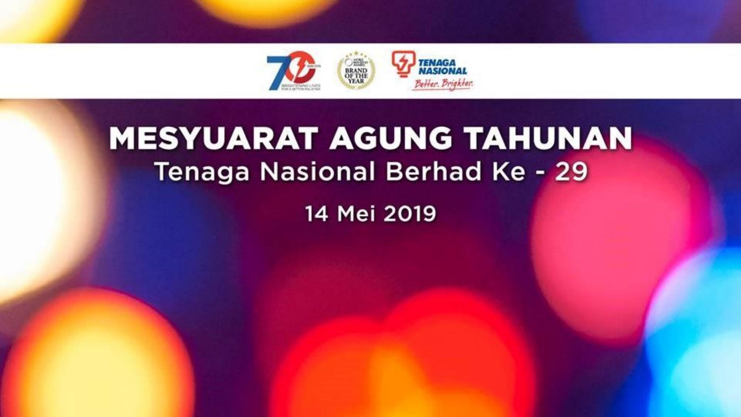

# **MESYUARAT AGUNG TAHUNAN Tenaga Nasional Berhad Ke - 29**

14 Mei 2019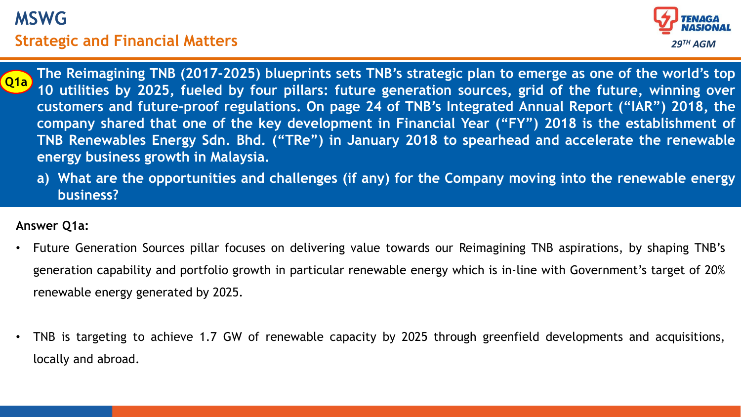# **MSWG Strategic and Financial Matters THE 29<sup>TH</sup> AGM**



- company shared that one of the key development in Financial Year ("FY") 2018 is the establishment of **The Reimagining TNB (2017-2025) blueprints sets TNB's strategic plan to emerge as one of the world's top 10 utilities by 2025, fueled by four pillars: future generation sources, grid of the future, winning over customers and future-proof regulations. On page 24 of TNB's Integrated Annual Report ("IAR") 2018, the TNB Renewables Energy Sdn. Bhd. ("TRe") in January 2018 to spearhead and accelerate the renewable energy business growth in Malaysia. Q1a**
	- **a) What are the opportunities and challenges (if any) for the Company moving into the renewable energy business?**

#### **Answer Q1a:**

- Future Generation Sources pillar focuses on delivering value towards our Reimagining TNB aspirations, by shaping TNB's generation capability and portfolio growth in particular renewable energy which is in-line with Government's target of 20% renewable energy generated by 2025.
- TNB is targeting to achieve 1.7 GW of renewable capacity by 2025 through greenfield developments and acquisitions, locally and abroad.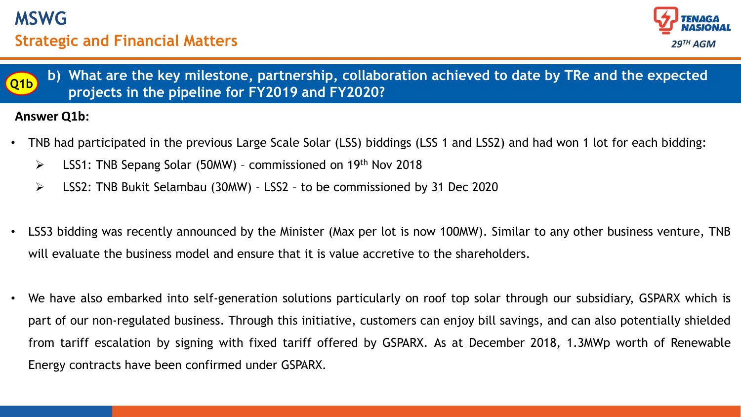





#### **Answer Q1b:**

- TNB had participated in the previous Large Scale Solar (LSS) biddings (LSS 1 and LSS2) and had won 1 lot for each bidding:
	- $\triangleright$  LSS1: TNB Sepang Solar (50MW) commissioned on 19<sup>th</sup> Nov 2018
	- LSS2: TNB Bukit Selambau (30MW) LSS2 to be commissioned by 31 Dec 2020
- LSS3 bidding was recently announced by the Minister (Max per lot is now 100MW). Similar to any other business venture, TNB will evaluate the business model and ensure that it is value accretive to the shareholders.
- We have also embarked into self-generation solutions particularly on roof top solar through our subsidiary, GSPARX which is part of our non-regulated business. Through this initiative, customers can enjoy bill savings, and can also potentially shielded from tariff escalation by signing with fixed tariff offered by GSPARX. As at December 2018, 1.3MWp worth of Renewable Energy contracts have been confirmed under GSPARX.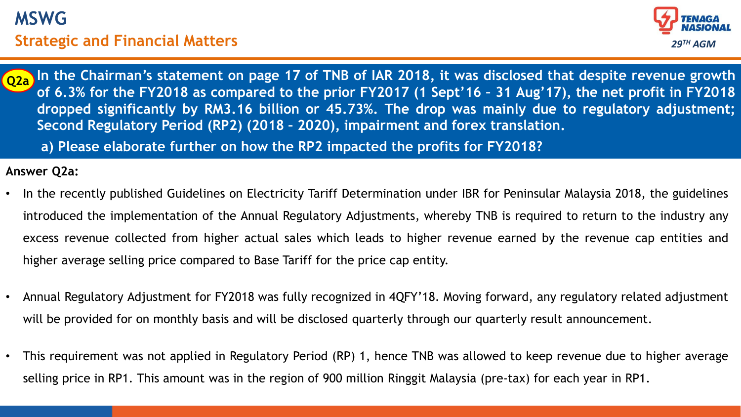# **MSWG Strategic and Financial Matters**



**Answer: dropped significantly by RM3.16 billion or 45.73%. The drop was mainly due to regulatory adjustment;** In the Chairman's statement on page 17 of TNB of IAR 2018, it was disclosed that despite revenue growth of 6.3% for the FY2018 as compared to the prior FY2017 (1 Sept'16 - 31 Aug'17), the net profit in FY2018 **Second Regulatory Period (RP2) (2018 – 2020), impairment and forex translation. Q2a**

**a) Please elaborate further on how the RP2 impacted the profits for FY2018?**

#### **Answer Q2a:**

- In the recently published Guidelines on Electricity Tariff Determination under IBR for Peninsular Malaysia 2018, the guidelines introduced the implementation of the Annual Regulatory Adjustments, whereby TNB is required to return to the industry any excess revenue collected from higher actual sales which leads to higher revenue earned by the revenue cap entities and higher average selling price compared to Base Tariff for the price cap entity.
- Annual Regulatory Adjustment for FY2018 was fully recognized in 4QFY'18. Moving forward, any regulatory related adjustment will be provided for on monthly basis and will be disclosed quarterly through our quarterly result announcement.
- This requirement was not applied in Regulatory Period (RP) 1, hence TNB was allowed to keep revenue due to higher average selling price in RP1. This amount was in the region of 900 million Ringgit Malaysia (pre-tax) for each year in RP1.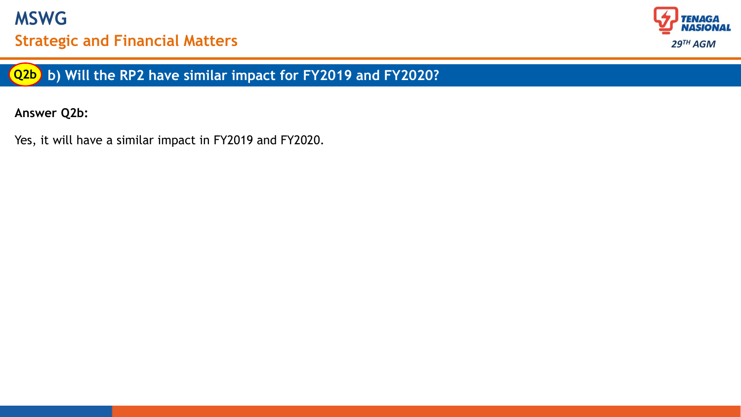



**b) Will the RP2 have similar impact for FY2019 and FY2020? Q2b**

**Answer Q2b:**

Yes, it will have a similar impact in FY2019 and FY2020.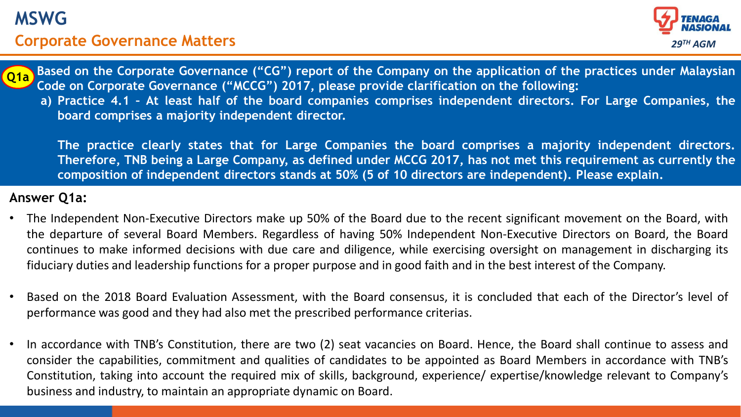# **MSWG**

## **Corporate Governance Matters**





a) Practice 4.1 - At least half of the board companies comprises independent directors. For Large Companies, the Based on the Corporate Governance ("CG") report of the Company on the application of the practices under Malaysian **Code on Corporate Governance ("MCCG") 2017, please provide clarification on the following: board comprises a majority independent director.**

**The practice clearly states that for Large Companies the board comprises a majority independent directors.** Therefore, TNB being a Large Company, as defined under MCCG 2017, has not met this requirement as currently the **composition of independent directors stands at 50% (5 of 10 directors are independent). Please explain.**

#### **Answer Q1a:**

- The Independent Non-Executive Directors make up 50% of the Board due to the recent significant movement on the Board, with the departure of several Board Members. Regardless of having 50% Independent Non-Executive Directors on Board, the Board continues to make informed decisions with due care and diligence, while exercising oversight on management in discharging its fiduciary duties and leadership functions for a proper purpose and in good faith and in the best interest of the Company.
- Based on the 2018 Board Evaluation Assessment, with the Board consensus, it is concluded that each of the Director's level of performance was good and they had also met the prescribed performance criterias.
- In accordance with TNB's Constitution, there are two (2) seat vacancies on Board. Hence, the Board shall continue to assess and consider the capabilities, commitment and qualities of candidates to be appointed as Board Members in accordance with TNB's Constitution, taking into account the required mix of skills, background, experience/ expertise/knowledge relevant to Company's business and industry, to maintain an appropriate dynamic on Board.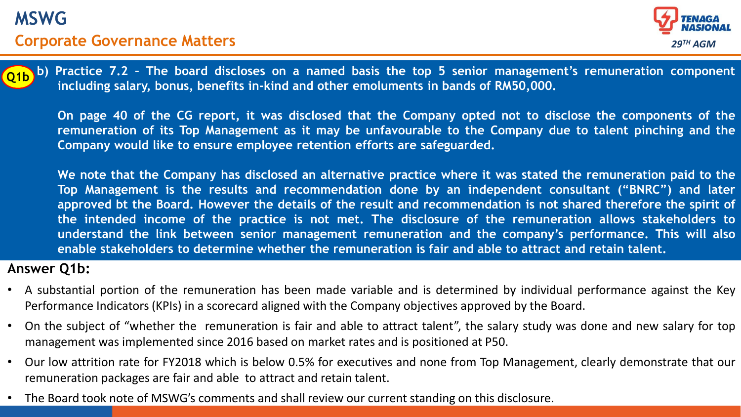



b) Practice 7.2 - The board discloses on a named basis the top 5 senior management's remuneration component **including salary, bonus, benefits in-kind and other emoluments in bands of RM50,000.**

On page 40 of the CG report, it was disclosed that the Company opted not to disclose the components of the remuneration of its Top Management as it may be unfavourable to the Company due to talent pinching and the **Company would like to ensure employee retention efforts are safeguarded.**

We note that the Company has disclosed an alternative practice where it was stated the remuneration paid to the **Top Management is the results and recommendation done by an independent consultant ("BNRC") and later** approved bt the Board. However the details of the result and recommendation is not shared therefore the spirit of **the intended income of the practice is not met. The disclosure of the remuneration allows stakeholders to understand the link between senior management remuneration and the company's performance. This will also enable stakeholders to determine whether the remuneration is fair and able to attract and retain talent.**

#### **Answer Q1b:**

- A substantial portion of the remuneration has been made variable and is determined by individual performance against the Key Performance Indicators (KPIs) in a scorecard aligned with the Company objectives approved by the Board.
- On the subject of "whether the remuneration is fair and able to attract talent", the salary study was done and new salary for top management was implemented since 2016 based on market rates and is positioned at P50.
- Our low attrition rate for FY2018 which is below 0.5% for executives and none from Top Management, clearly demonstrate that our remuneration packages are fair and able to attract and retain talent.
- The Board took note of MSWG's comments and shall review our current standing on this disclosure.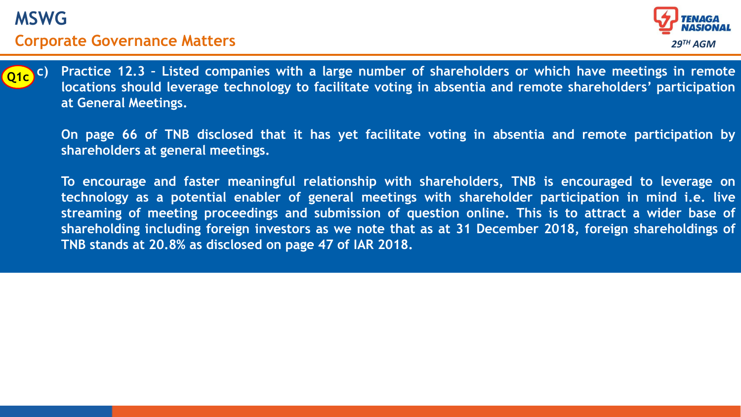



Practice 12.3 - Listed companies with a large number of shareholders or which have meetings in remote **locations should leverage technology to facilitate voting in absentia and remote shareholders' participation at General Meetings.**

On page 66 of TNB disclosed that it has yet facilitate voting in absentia and remote participation by **shareholders at general meetings.**

**To encourage and faster meaningful relationship with shareholders, TNB is encouraged to leverage on technology as a potential enabler of general meetings with shareholder participation in mind i.e. live streaming of meeting proceedings and submission of question online. This is to attract a wider base of shareholding including foreign investors as we note that as at 31 December 2018, foreign shareholdings of TNB stands at 20.8% as disclosed on page 47 of IAR 2018.**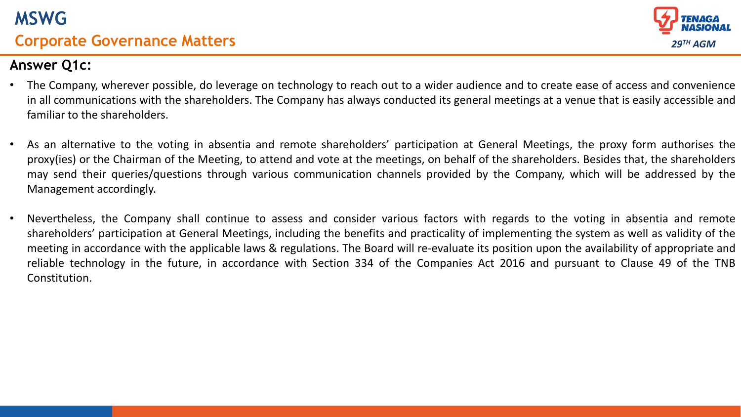



## **Answer Q1c:**

- The Company, wherever possible, do leverage on technology to reach out to a wider audience and to create ease of access and convenience in all communications with the shareholders. The Company has always conducted its general meetings at a venue that is easily accessible and familiar to the shareholders.
- As an alternative to the voting in absentia and remote shareholders' participation at General Meetings, the proxy form authorises the proxy(ies) or the Chairman of the Meeting, to attend and vote at the meetings, on behalf of the shareholders. Besides that, the shareholders may send their queries/questions through various communication channels provided by the Company, which will be addressed by the Management accordingly.
- Nevertheless, the Company shall continue to assess and consider various factors with regards to the voting in absentia and remote shareholders' participation at General Meetings, including the benefits and practicality of implementing the system as well as validity of the meeting in accordance with the applicable laws & regulations. The Board will re-evaluate its position upon the availability of appropriate and reliable technology in the future, in accordance with Section 334 of the Companies Act 2016 and pursuant to Clause 49 of the TNB Constitution.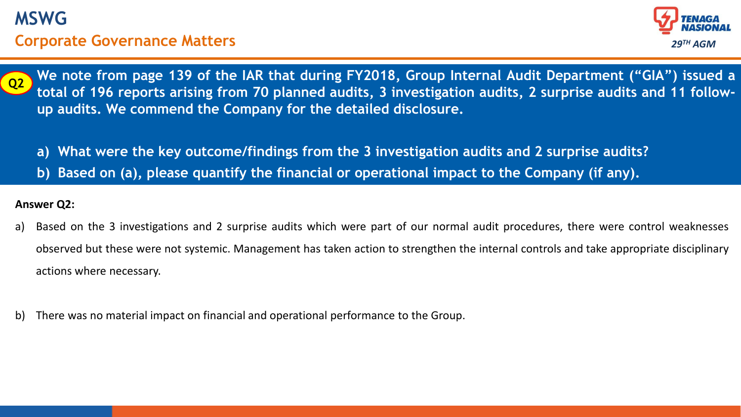



We note from page 139 of the IAR that during FY2018, Group Internal Audit Department ("GIA") issued a total of 196 reports arising from 70 planned audits, 3 investigation audits, 2 surprise audits and 11 follow**up audits. We commend the Company for the detailed disclosure.**

- **a) What were the key outcome/findings from the 3 investigation audits and 2 surprise audits?**
- **b) Based on (a), please quantify the financial or operational impact to the Company (if any).**

#### **Answer Q2:**

- a) Based on the 3 investigations and 2 surprise audits which were part of our normal audit procedures, there were control weaknesses observed but these were not systemic. Management has taken action to strengthen the internal controls and take appropriate disciplinary actions where necessary.
- b) There was no material impact on financial and operational performance to the Group.